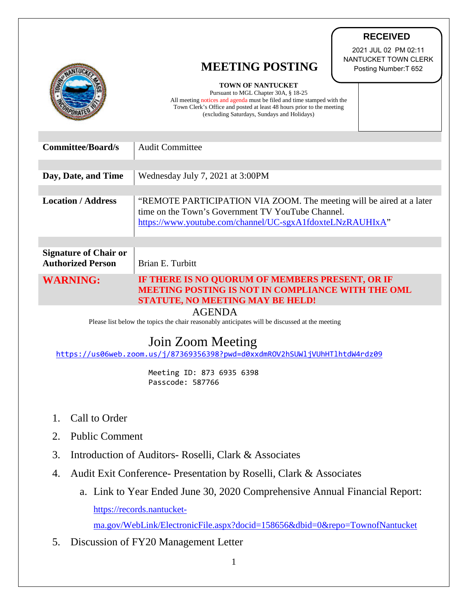|                                                                                                                 | <b>RECEIVED</b>                                                                                                           |
|-----------------------------------------------------------------------------------------------------------------|---------------------------------------------------------------------------------------------------------------------------|
|                                                                                                                 | 2021 JUL 02 PM 02:11<br>NANTUCKET TOWN CLERK<br><b>MEETING POSTING</b>                                                    |
|                                                                                                                 | Posting Number: T 652<br>TOWN OF NANTUCKET                                                                                |
|                                                                                                                 | Pursuant to MGL Chapter 30A, § 18-25<br>All meeting notices and agenda must be filed and time stamped with the            |
|                                                                                                                 | Town Clerk's Office and posted at least 48 hours prior to the meeting<br>(excluding Saturdays, Sundays and Holidays)      |
|                                                                                                                 |                                                                                                                           |
| <b>Committee/Board/s</b>                                                                                        | <b>Audit Committee</b>                                                                                                    |
| Day, Date, and Time                                                                                             | Wednesday July 7, 2021 at 3:00PM                                                                                          |
|                                                                                                                 |                                                                                                                           |
| <b>Location / Address</b>                                                                                       | "REMOTE PARTICIPATION VIA ZOOM. The meeting will be aired at a later<br>time on the Town's Government TV YouTube Channel. |
|                                                                                                                 | https://www.youtube.com/channel/UC-sgxA1fdoxteLNzRAUHIxA"                                                                 |
|                                                                                                                 |                                                                                                                           |
| <b>Signature of Chair or</b><br><b>Authorized Person</b>                                                        | Brian E. Turbitt                                                                                                          |
| <b>WARNING:</b>                                                                                                 | IF THERE IS NO QUORUM OF MEMBERS PRESENT, OR IF<br><b>MEETING POSTING IS NOT IN COMPLIANCE WITH THE OML</b>               |
|                                                                                                                 | STATUTE, NO MEETING MAY BE HELD!                                                                                          |
| <b>AGENDA</b><br>Please list below the topics the chair reasonably anticipates will be discussed at the meeting |                                                                                                                           |
| Join Zoom Meeting                                                                                               |                                                                                                                           |
| https://us06web.zoom.us/j/87369356398?pwd=d0xxdmROV2hSUWljVUhHTlhtdW4rdz09                                      |                                                                                                                           |
| Meeting ID: 873 6935 6398<br>Passcode: 587766                                                                   |                                                                                                                           |
|                                                                                                                 |                                                                                                                           |
| Call to Order<br>1.                                                                                             |                                                                                                                           |
| <b>Public Comment</b><br>2.                                                                                     |                                                                                                                           |
| 3.<br>Introduction of Auditors- Roselli, Clark & Associates                                                     |                                                                                                                           |
| Audit Exit Conference- Presentation by Roselli, Clark & Associates<br>4.                                        |                                                                                                                           |
| a. Link to Year Ended June 30, 2020 Comprehensive Annual Financial Report:                                      |                                                                                                                           |
| https://records.nantucket-                                                                                      |                                                                                                                           |
| ma.gov/WebLink/ElectronicFile.aspx?docid=158656&dbid=0&repo=TownofNantucket                                     |                                                                                                                           |
| 5.<br>Discussion of FY20 Management Letter                                                                      |                                                                                                                           |
| 1                                                                                                               |                                                                                                                           |

∕